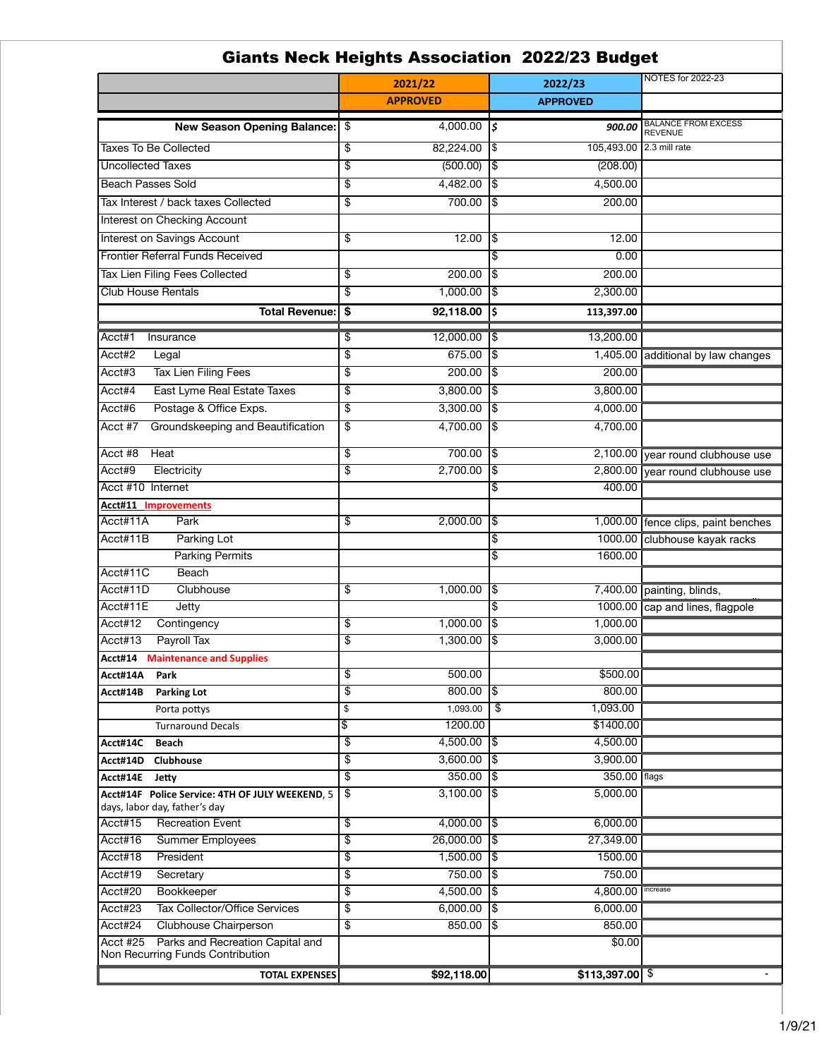| Giants Neck Heights Association 2022/23 Budget                                   |                   |             |                         |                          |                                     |
|----------------------------------------------------------------------------------|-------------------|-------------|-------------------------|--------------------------|-------------------------------------|
|                                                                                  | 2021/22           |             | 2022/23                 |                          | <b>NOTES for 2022-23</b>            |
|                                                                                  | <b>APPROVED</b>   |             |                         | <b>APPROVED</b>          |                                     |
|                                                                                  |                   | 4,000.00    |                         |                          | <b>BALANCE FROM EXCESS</b>          |
| <b>New Season Opening Balance:</b>                                               | \$                |             | l\$                     | 900.00                   | <b>REVENUE</b>                      |
| <b>Taxes To Be Collected</b>                                                     | \$                | 82,224.00   | 1\$                     | 105,493.00 2.3 mill rate |                                     |
| <b>Uncollected Taxes</b>                                                         | \$                | (500.00)    | 1\$                     | (208.00)                 |                                     |
| <b>Beach Passes Sold</b>                                                         | \$                | 4,482.00    | 1\$                     | 4,500.00                 |                                     |
| Tax Interest / back taxes Collected                                              | \$                | 700.00      | 1\$                     | 200.00                   |                                     |
| <b>Interest on Checking Account</b>                                              |                   |             |                         |                          |                                     |
| <b>Interest on Savings Account</b>                                               | \$                | 12.00       | 1\$                     | 12.00                    |                                     |
| <b>Frontier Referral Funds Received</b>                                          |                   |             | \$                      | 0.00                     |                                     |
| <b>Tax Lien Filing Fees Collected</b>                                            | \$                | 200.00      | 1\$                     | 200.00                   |                                     |
| <b>Club House Rentals</b>                                                        | \$                | 1,000.00    | 1\$                     | 2,300.00                 |                                     |
| <b>Total Revenue:</b>                                                            | $\boldsymbol{\$}$ | 92,118.00   | İ\$                     | 113,397.00               |                                     |
|                                                                                  |                   |             |                         |                          |                                     |
| Acct#1<br>Insurance                                                              | \$                | 12,000.00   | 1\$                     | 13,200.00                |                                     |
| Acct#2<br>Legal                                                                  | \$                | 675.00      | 1\$                     | 1,405.00                 | additional by law changes           |
| <b>Tax Lien Filing Fees</b><br>Acct#3                                            | \$                | 200.00      | 1\$                     | 200.00                   |                                     |
| <b>East Lyme Real Estate Taxes</b><br>Acct#4                                     | \$                | 3,800.00    | 1\$                     | 3,800.00                 |                                     |
| Postage & Office Exps.<br>Acct#6                                                 | \$                | 3,300.00    | 1\$                     | 4,000.00                 |                                     |
| Groundskeeping and Beautification<br>Acct #7                                     | \$                | 4,700.00    | 1\$                     | 4,700.00                 |                                     |
| Acct #8<br>Heat                                                                  | \$                | 700.00      | 1\$                     |                          | 2,100.00 year round clubhouse use   |
| Acct#9<br>Electricity                                                            | \$                | 2,700.00    | 1\$                     |                          | 2,800.00 year round clubhouse use   |
| Acct #10 Internet                                                                |                   |             | \$                      | 400.00                   |                                     |
| <b>Acct#11 Improvements</b>                                                      |                   |             |                         |                          |                                     |
| Acct#11A<br>Park                                                                 | \$                | 2,000.00    | $\sqrt{3}$              |                          | 1,000.00 fence clips, paint benches |
| Acct#11B<br><b>Parking Lot</b>                                                   |                   |             | \$                      |                          | 1000.00 Clubhouse kayak racks       |
| <b>Parking Permits</b>                                                           |                   |             | \$                      | 1600.00                  |                                     |
| Acct#11C<br><b>Beach</b>                                                         |                   |             |                         |                          |                                     |
| Acct#11D<br>Clubhouse                                                            | \$                | 1,000.00    | $\overline{1}$ \$       |                          | 7,400.00 painting, blinds,          |
| Acct#11E<br>Jetty                                                                |                   |             | \$                      |                          | 1000.00 cap and lines, flagpole     |
| Acct#12<br>Contingency                                                           | \$                | 1,000.00    | 1\$                     | 1,000.00                 |                                     |
| Acct#13<br>Payroll Tax                                                           | \$                | 1,300.00    | 1\$                     | 3,000.00                 |                                     |
| Acct#14<br><b>Maintenance and Supplies</b>                                       |                   |             |                         |                          |                                     |
| Acct#14A<br>Park                                                                 | \$                | 500.00      |                         | \$500.00                 |                                     |
| Acct#14B<br><b>Parking Lot</b>                                                   | \$                | 800.00      | 1\$                     | 800.00                   |                                     |
| Porta pottys                                                                     | \$                | 1,093.00    | $\overline{\mathbf{3}}$ | 1,093.00                 |                                     |
| <b>Turnaround Decals</b>                                                         | \$                | 1200.00     |                         | \$1400.00                |                                     |
| Acct#14C<br><b>Beach</b>                                                         | \$                | 4,500.00    | 1\$                     | 4,500.00                 |                                     |
| Acct#14D<br><b>Clubhouse</b>                                                     | \$                | 3,600.00    | 1\$                     | 3,900.00                 |                                     |
| Acct#14E<br>Jetty                                                                | \$                | 350.00      | 1\$                     | 350.00 flags             |                                     |
| Acct#14F Police Service: 4TH OF JULY WEEKEND, 5<br>days, labor day, father's day | \$                | 3,100.00    | 1\$                     | $\overline{5,000.00}$    |                                     |
| Acct#15<br><b>Recreation Event</b>                                               | \$                | 4,000.00    | 1\$                     | 6,000.00                 |                                     |
| Acct#16<br><b>Summer Employees</b>                                               | \$                | 26,000.00   | $\overline{5}$          | 27,349.00                |                                     |
| Acct#18<br>President                                                             | \$                | 1,500.00    | 1\$                     | 1500.00                  |                                     |
| Acct#19<br>Secretary                                                             | \$                | 750.00      | 1\$                     | 750.00                   |                                     |
| Acct#20<br>Bookkeeper                                                            | \$                | 4,500.00    | 1\$                     | 4,800.00                 | increase                            |
| Acct#23<br><b>Tax Collector/Office Services</b>                                  | \$                | 6,000.00    | 1\$                     | 6,000.00                 |                                     |
| Acct#24<br>Clubhouse Chairperson                                                 | \$                | 850.00      | 1\$                     | 850.00                   |                                     |
| Parks and Recreation Capital and<br><b>Acct #25</b>                              |                   |             |                         | $\sqrt{$0.00}$           |                                     |
| Non Recurring Funds Contribution                                                 |                   |             |                         |                          |                                     |
| <b>TOTAL EXPENSES</b>                                                            |                   | \$92,118.00 |                         | $$113,397.00$ \\$        |                                     |

## Giants Neck Heights Association 2022/23 Budget